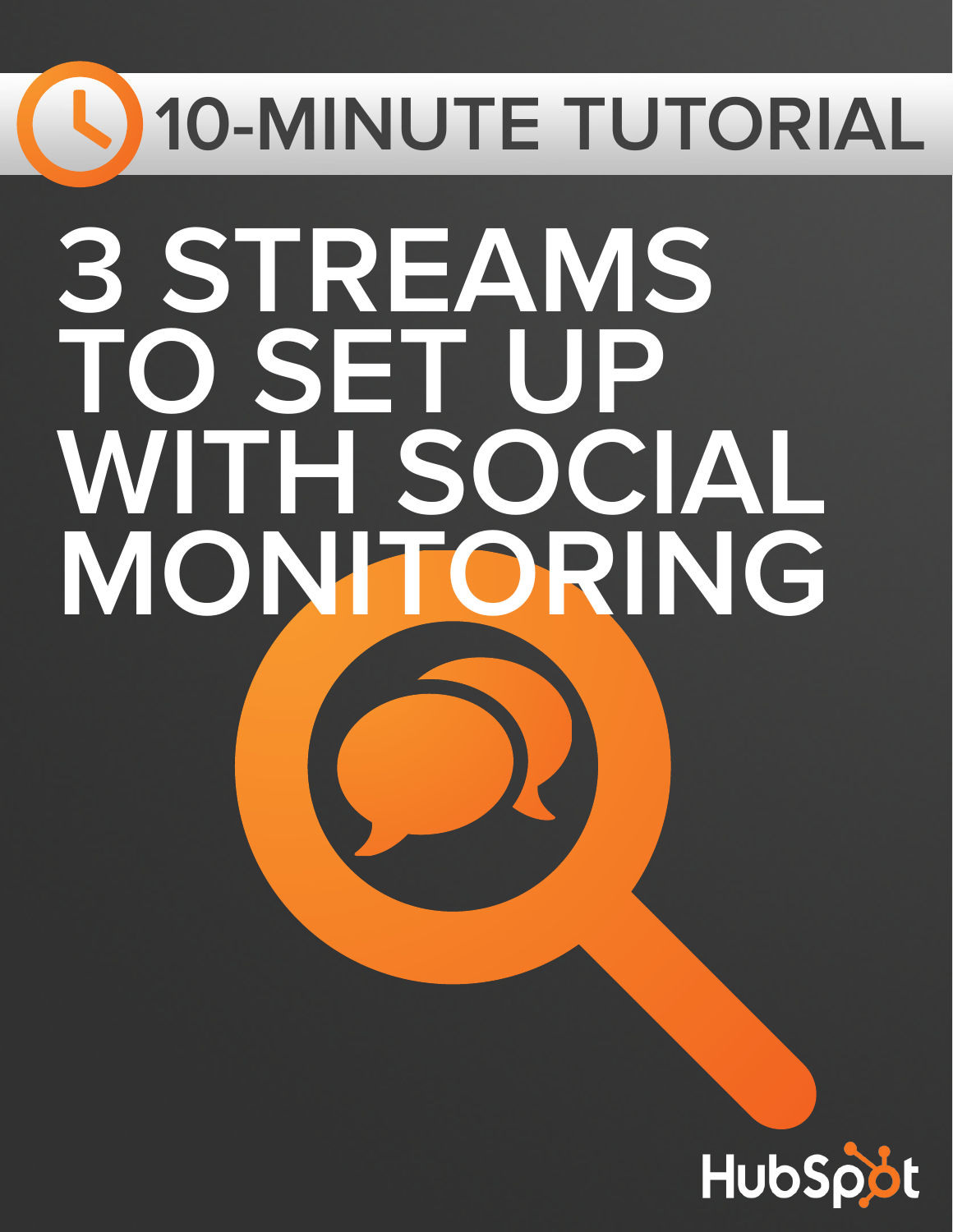# **10-MINUTE TUTORIAL 3 STREAMS TO SET UP WITH SOCIAL MONITORING**

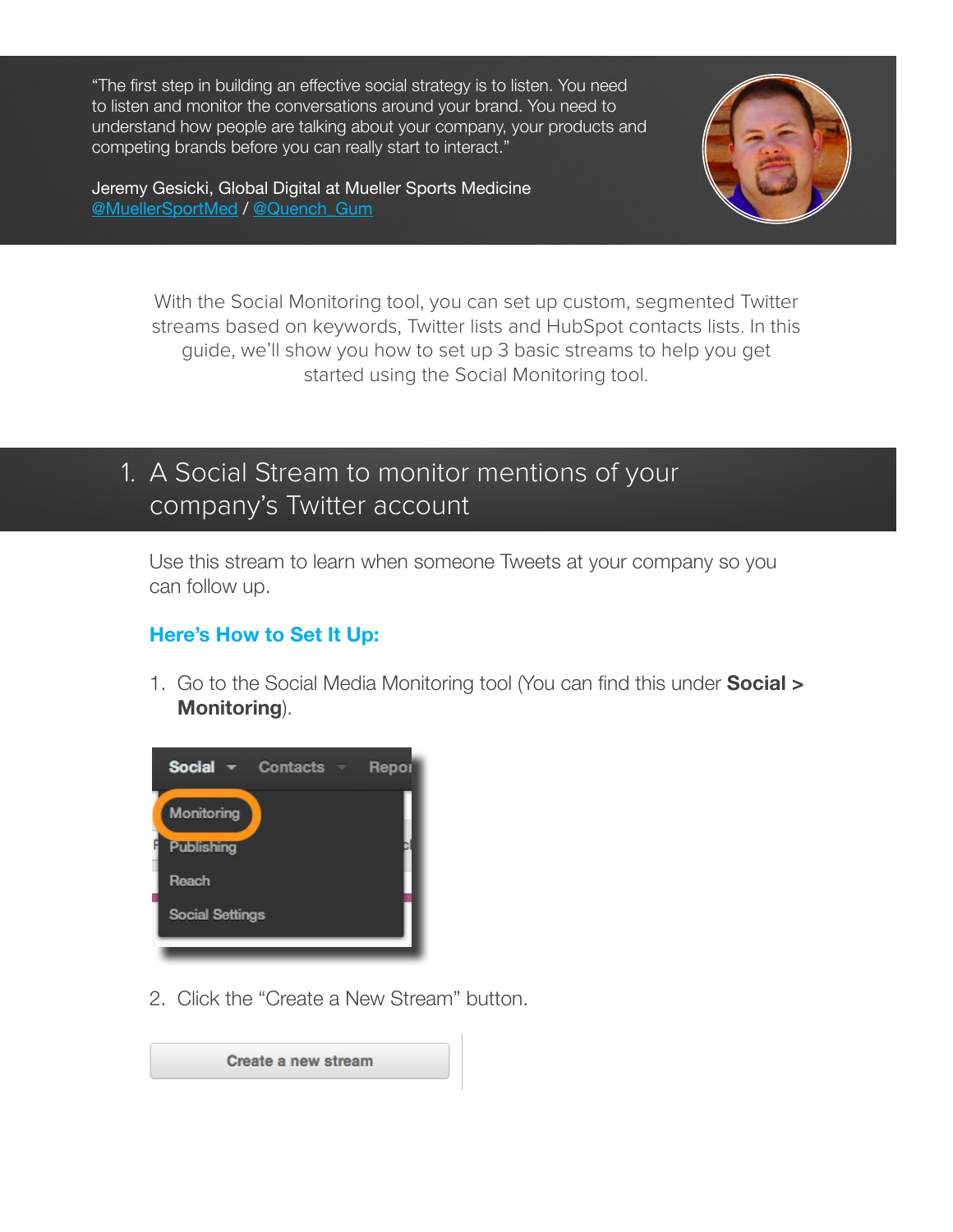"The first step in building an effective social strategy is to listen. You need to listen and monitor the conversations around your brand. You need to understand how people are talking about your company, your products and competing brands before you can really start to interact."

Jeremy Gesicki, Global Digital at Mueller Sports Medicine [@MuellerSportMed](https://twitter.com/MuellerSportMed) / [@Quench\\_Gum](https://twitter.com/Quench_Gum)



With the Social Monitoring tool, you can set up custom, segmented Twitter streams based on keywords, Twitter lists and HubSpot contacts lists. In this guide, we'll show you how to set up 3 basic streams to help you get started using the Social Monitoring tool.

## 1. A Social Stream to monitor mentions of your company's Twitter account

Use this stream to learn when someone Tweets at your company so you can follow up.

#### **Here's How to Set It Up:**

1.

1. Go to the Social Media Monitoring tool (You can find this under **Social > Monitoring**).



2. Click the "Create a New Stream" button.

Create a new stream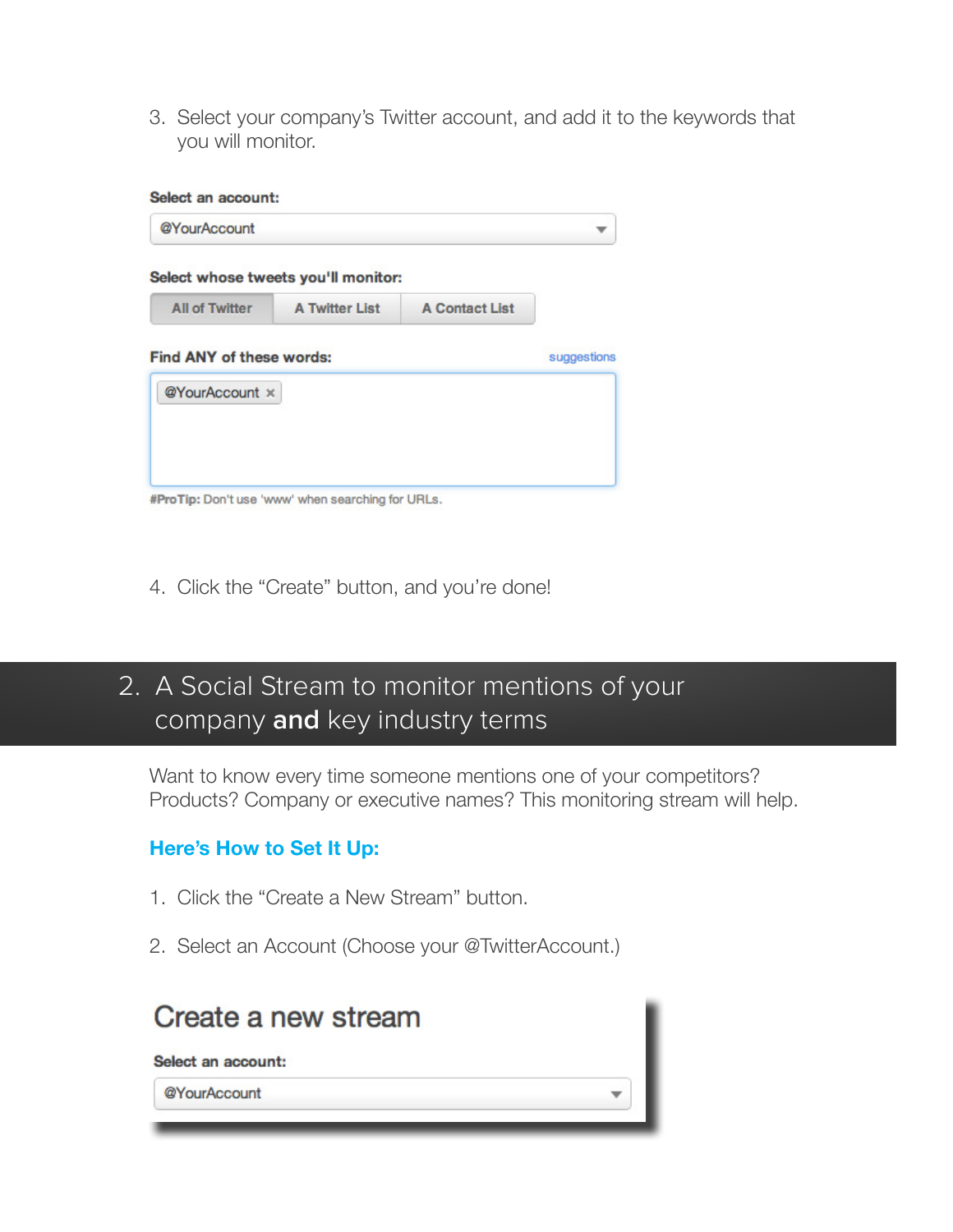3. Select your company's Twitter account, and add it to the keywords that you will monitor.

| @YourAccount                    |                                     |                       |             |
|---------------------------------|-------------------------------------|-----------------------|-------------|
|                                 | Select whose tweets you'll monitor: |                       |             |
| <b>All of Twitter</b>           | <b>A Twitter List</b>               | <b>A Contact List</b> |             |
| <b>Find ANY of these words:</b> |                                     |                       | suggestions |
|                                 |                                     |                       |             |
| @YourAccount x                  |                                     |                       |             |
|                                 |                                     |                       |             |

4. Click the "Create" button, and you're done!

## 2. A Social Stream to monitor mentions of your company **and** key industry terms

Want to know every time someone mentions one of your competitors? Products? Company or executive names? This monitoring stream will help.

### **Here's How to Set It Up:**

- 1. Click the "Create a New Stream" button.
- 2. Select an Account (Choose your @TwitterAccount.)

| Create a new stream |  |
|---------------------|--|
| Select an account:  |  |
| @YourAccount        |  |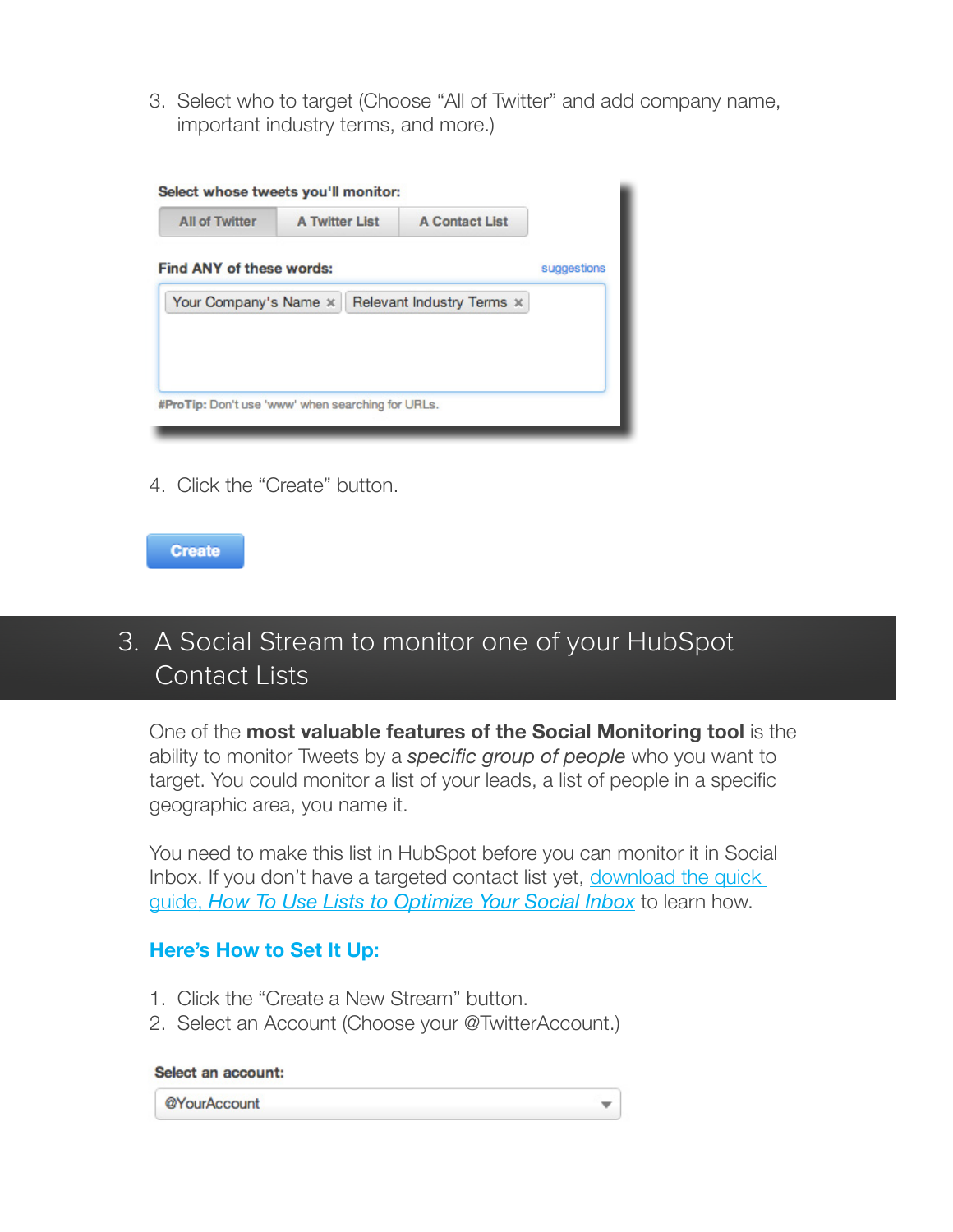3. Select who to target (Choose "All of Twitter" and add company name, important industry terms, and more.)

| <b>All of Twitter</b>           | <b>A Twitter List</b> | <b>A Contact List</b>            |             |
|---------------------------------|-----------------------|----------------------------------|-------------|
| <b>Find ANY of these words:</b> |                       |                                  | suggestions |
| Your Company's Name x           |                       | Relevant Industry Terms $\times$ |             |
|                                 |                       |                                  |             |
|                                 |                       |                                  |             |
|                                 |                       |                                  |             |

4. Click the "Create" button.



## 3. A Social Stream to monitor one of your HubSpot Contact Lists

One of the **most valuable features of the Social Monitoring tool** is the ability to monitor Tweets by a *specific group of people* who you want to target. You could monitor a list of your leads, a list of people in a specific geographic area, you name it.

You need to make this list in HubSpot before you can monitor it in Social Inbox. If you don't have a targeted contact list yet, download the quick guide, *How To Use Lists to Optimize Your Social Inbox* to learn how.

#### **Here's How to Set It Up:**

- 1. Click the "Create a New Stream" button.
- 2. Select an Account (Choose your @TwitterAccount.)

#### Select an account:

@YourAccount